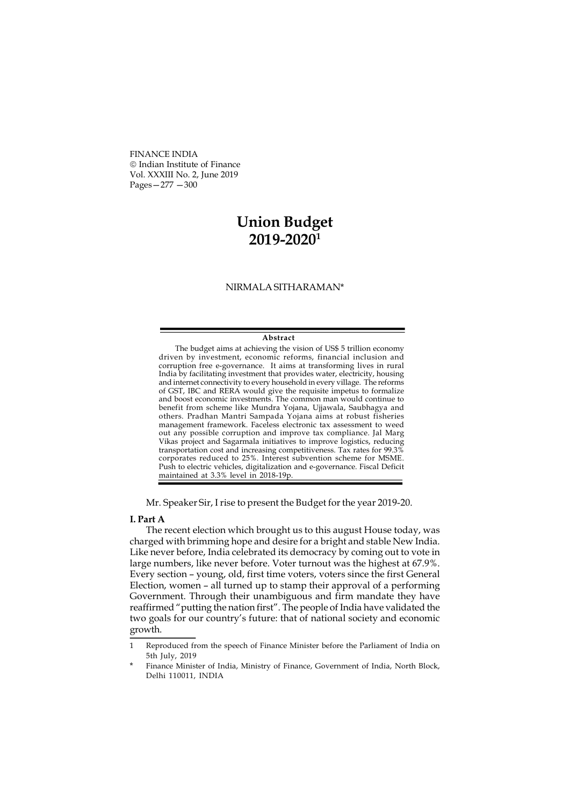FINANCE INDIA Indian Institute of Finance Vol. XXXIII No. 2, June 2019 Pages—277 —300

## Union Budget 2019-2020<sup>1</sup>

## NIRMALA SITHARAMAN\*

## Abstract

The budget aims at achieving the vision of US\$ 5 trillion economy driven by investment, economic reforms, financial inclusion and corruption free e-governance. It aims at transforming lives in rural India by facilitating investment that provides water, electricity, housing and internet connectivity to every household in every village. The reforms of GST, IBC and RERA would give the requisite impetus to formalize and boost economic investments. The common man would continue to benefit from scheme like Mundra Yojana, Ujjawala, Saubhagya and others. Pradhan Mantri Sampada Yojana aims at robust fisheries management framework. Faceless electronic tax assessment to weed out any possible corruption and improve tax compliance. Jal Marg Vikas project and Sagarmala initiatives to improve logistics, reducing transportation cost and increasing competitiveness. Tax rates for 99.3% corporates reduced to 25%. Interest subvention scheme for MSME. Push to electric vehicles, digitalization and e-governance. Fiscal Deficit maintained at 3.3% level in 2018-19p.

Mr. Speaker Sir, I rise to present the Budget for the year 2019-20.

## I. Part A

The recent election which brought us to this august House today, was charged with brimming hope and desire for a bright and stable New India. Like never before, India celebrated its democracy by coming out to vote in large numbers, like never before. Voter turnout was the highest at 67.9%. Every section – young, old, first time voters, voters since the first General Election, women – all turned up to stamp their approval of a performing Government. Through their unambiguous and firm mandate they have reaffirmed "putting the nation first". The people of India have validated the two goals for our country's future: that of national society and economic growth.

<sup>1</sup> Reproduced from the speech of Finance Minister before the Parliament of India on 5th July, 2019

Finance Minister of India, Ministry of Finance, Government of India, North Block, Delhi 110011, INDIA